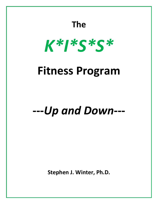# **The** *K\*I\*S\*S\** **Fitness Program ---***Up and Down***---**

**Stephen J. Winter, Ph.D.**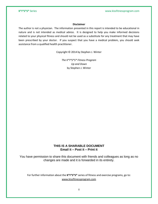### **Disclaimer**

The author is not a physician. The information presented in this report is intended to be educational in nature and is not intended as medical advice. It is designed to help you make informed decisions related to your physical fitness and should not be used as a substitute for any treatment that may have been prescribed by your doctor. If you suspect that you have a medical problem, you should seek assistance from a qualified health practitioner.

Copyright © 2014 by Stephen J. Winter

*The K\*I\*S\*S\* Fitness Program Up and Down* by Stephen J. Winter

### **THIS IS A SHARABLE DOCUMENT Email it – Post it – Print it**

You have permission to share this document with friends and colleagues as long as no changes are made and it is forwarded in its entirety.

For further information about the **K\*I\*S\*S\*** series of fitness and exercise programs, go to: [www.kissfitnessprogram.com](http://www.kissfitnessprogram.com/)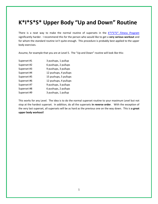# **K\*I\*S\*S\* Upper Body "Up and Down" Routine**

There is a neat way to make the normal routine of supersets in the *[K\\*I\\*S\\*S\\* Fitness Program](http://www.kissfitnessprogram.com/kiss-fitness-program.html)* significantly harder. I recommend this for the person who would like to get a **very serious workout** and for whom the standard routine isn't quite enough. This procedure is probably best applied to the upper body exercises.

Assume, for example that you are at Level 5. The "Up and Down" routine will look like this:

| Superset #1 | 3 pushups, 1 pullup   |
|-------------|-----------------------|
| Superset #2 | 6 pushups, 2 pullups  |
| Superset #3 | 9 pushups, 3 pullups  |
| Superset #4 | 12 pushups, 4 pullups |
| Superset #5 | 15 pushups, 5 pullups |
| Superset #6 | 12 pushups, 4 pullups |
| Superset #7 | 9 pushups, 3 pullups  |
| Superset #8 | 6 pushups, 2 pullups  |
| Superset #9 | 3 pushups, 1 pullup   |
|             |                       |

This works for any Level. The idea is to do the normal superset routine to your maximum Level but not stop at the hardest superset. In addition, do all the supersets **in reverse order**. With the exception of the very last superset, all supersets will be as hard as the previous one on the way down. This is **a great upper body workout!**